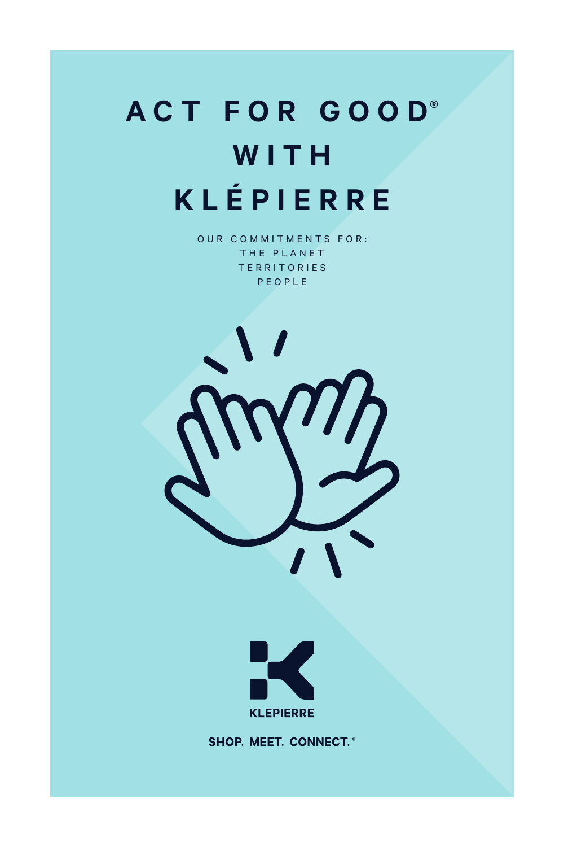# **ACT FOR GOO D® W I T H KLÉPIERRE**

OUR COMMITMENTS FOR: THE PLANET **TERRITORIES** PEOPLE





**SHOP. MEET. CONNECT.\***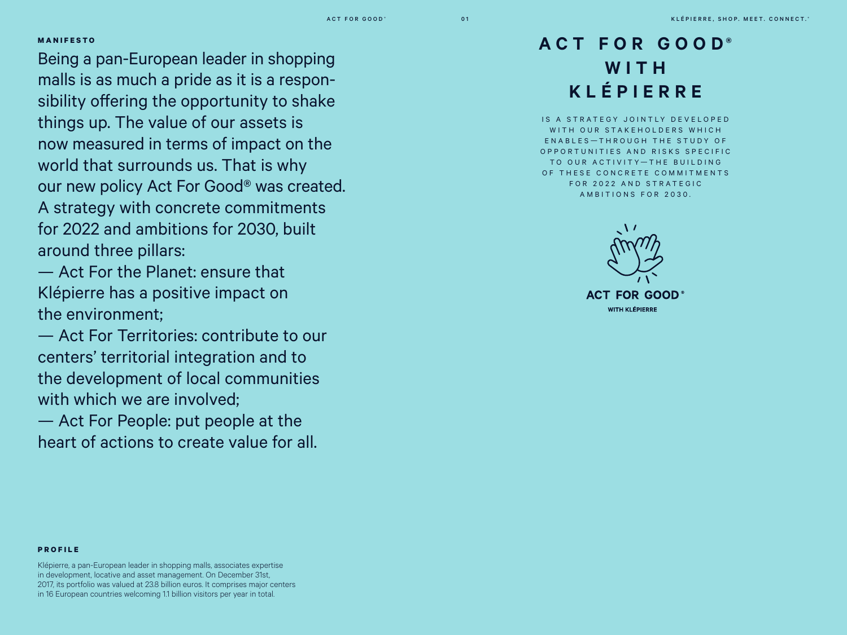#### **MANIFESTO**

Being a pan-European leader in shopping malls is as much a pride as it is a responsibility offering the opportunity to shake things up. The value of our assets is now measured in terms of impact on the world that surrounds us. That is why our new policy Act For Good® was created. A strategy with concrete commitments for 2022 and ambitions for 2030, built around three pillars:

— Act For the Planet: ensure that Klépierre has a positive impact on the environment;

— Act For Territories: contribute to our centers' territorial integration and to the development of local communities with which we are involved:

— Act For People: put people at the heart of actions to create value for all.

### **ACT FOR GOOD® W I T H KLÉPIERRE**

IS A STRATEGY JOINTLY DEVELOPED WITH OUR STAKFHOLDERS WHICH ENABLES-THROUGH THE STUDY OF O P P O R T U N I T I E S A N D R I S K S S P E C I F I C TO OUR ACTIVITY-THE BUILDING OF THESE CONCRETE COMMITMENTS FOR 2022 AND STRATEGIC AMBITIONS FOR 2030.



#### **PROFILE**

Klépierre, a pan-European leader in shopping malls, associates expertise in development, locative and asset management. On December 31st, 2017, its portfolio was valued at 23.8 billion euros. It comprises major centers in 16 European countries welcoming 1.1 billion visitors per year in total.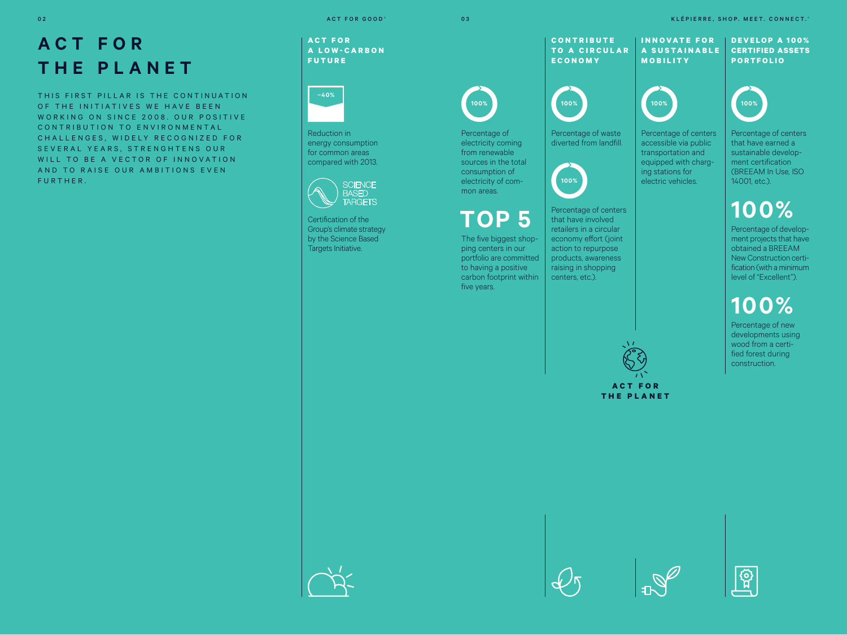## **ACT FOR THE PLANET**

THIS FIRST PILLAR IS THE CONTINUATION OF THE INITIATIVES WE HAVE REEN WORKING ON SINCE 2008. OUR POSITIVE CONTRIBUTION TO ENVIRONMENTAL C H A LL E N G E S , W I D E L Y R E C O G N I Z E D F O R SEVERAL YEARS, STRENGHTENS OUR WILL TO BE A VECTOR OF INNOVATION AND TO RAISE OUR AMBITIONS EVEN FURTHER.

**A C T F O R A L O W - C A R B O N FUTURE**



Reduction in energy consumption for common areas compared with 2013.



Certification of the Group's climate strategy by the Science Based Targets Initiative.

**100%**

Percentage of electricity coming from renewable sources in the total consumption of electricity of common areas.

 **TOP 5** The five biggest shopping centers in our portfolio are committed to having a positive carbon footprint within

five years.



Percentage of waste diverted from landfill.

**100%**

Percentage of centers that have involved retailers in a circular economy effort (joint action to repurpose products, awareness raising in shopping centers, etc.).



**ACT FOR THE PLANET**

ACT FOR GOOD ® ACT FOR GOOD ® CONNECT. "THE SHOP IS A CONNECT." OR A CONNECT. "THE SHOP. MEET. CONNECT." A CONNECT."





Percentage of centers accessible via public transportation and equipped with charging stations for electric vehicles. Percentage of centers that have earned a sustainable development certification (BREEAM In Use, ISO 14001, etc.).

## **100%**

Percentage of development projects that have obtained a BREEAM New Construction certification (with a minimum level of "Excellent").

## **100%**

Percentage of new developments using wood from a certified forest during construction.







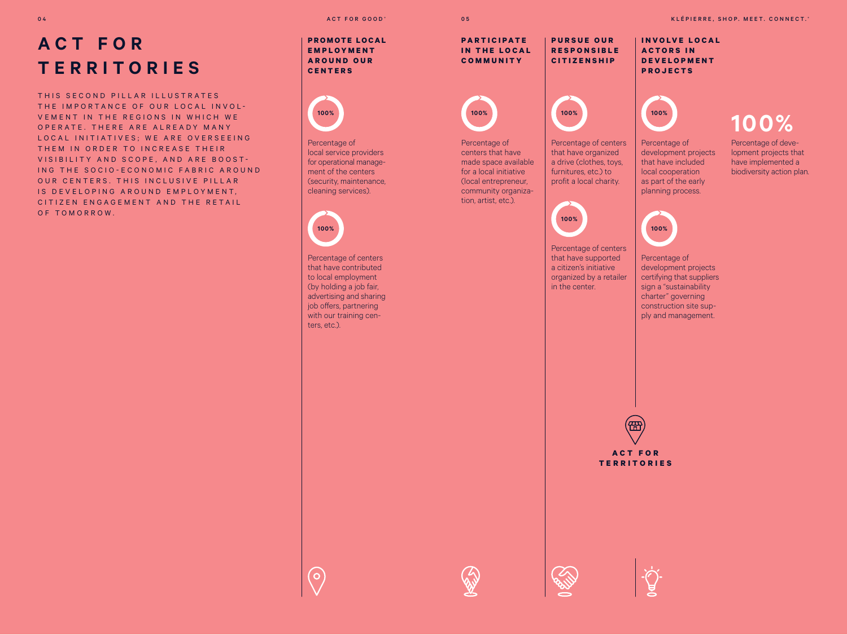THIS SECOND PILLAR ILLUSTRATES THE IMPORTANCE OF OUR LOCAL INVOL-VEMENT IN THE REGIONS IN WHICH WE O P E R A T E . T H E R E A R E A L R E A D Y M A N Y LOCAL INITIATIVES: WE ARE OVERSEEING THEM IN ORDER TO INCREASE THEIR VISIBILITY AND SCOPE, AND ARE BOOST-ING THE SOCIO-FCONOMIC FABRIC AROUND OUR CENTERS. THIS INCLUSIVE PILLAR IS DEVELOPING AROUND EMPLOYMENT. CITIZEN ENGAGEMENT AND THE RETAIL OF TOMORROW.

#### **PROMOTE LOCAL E M P L O Y M E N T**

**A R O U N D O U R CENTERS**



Percentage of local service providers for operational management of the centers (security, maintenance, cleaning services).

**100%**

 $\overline{O}$ 

Percentage of centers that have contributed to local employment (by holding a job fair, advertising and sharing job offers, partnering with our training centers, etc.).

**P A R T I C I P A T E IN THE LOCAL COMMUNITY**

**100%**

Percentage of centers that have made space available for a local initiative (local entrepreneur, community organization, artist, etc.).



Percentage of centers that have organized a drive (clothes, toys, furnitures, etc.) to profit a local charity.

**P U R S U E O U R R E S P O N S I B L E CITIZENSHIP**



Percentage of centers that have supported a citizen's initiative organized by a retailer in the center.

**I N V O L V E L O C A L ACTORS IN D E V E L O P M E N T PROJECTS**



Percentage of development projects that have included local cooperation as part of the early biodiversity action plan.

**100%** Percentage of development projects that have implemented a

**100%**

planning process.

Percentage of development projects certifying that suppliers sign a "sustainability charter" governing construction site supply and management.



**TERRITORIES**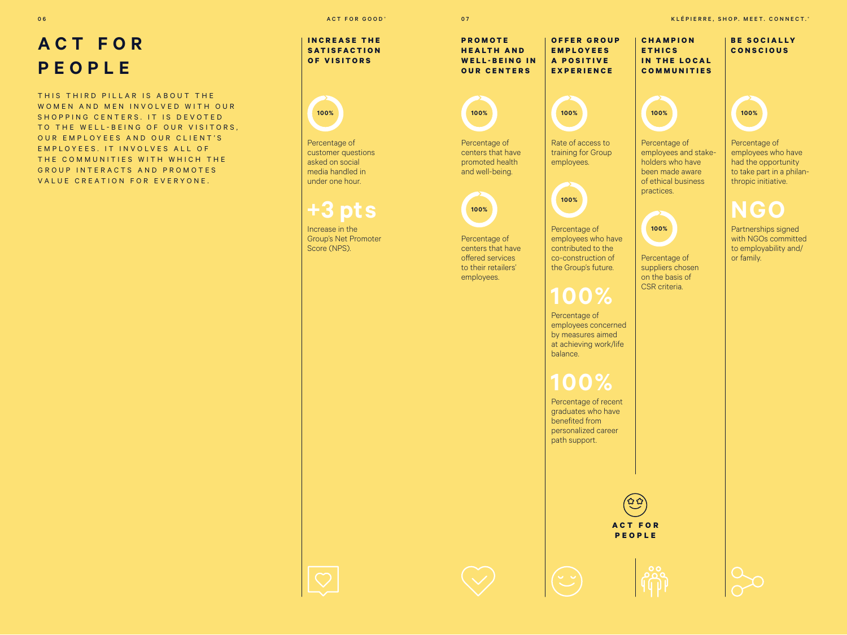## **ACT FOR PEOPLE**

THIS THIRD PILLAR IS ABOUT THE WOMEN AND MEN INVOLVED WITH OUR SHOPPING CENTERS. IT IS DEVOTED TO THE WELL-BEING OF OUR VISITORS. OUR EMPLOYEES AND OUR CLIENT'S E M P L O Y E E S. IT IN VOLVES ALL OF THE COMMUNITIES WITH WHICH THE GROUP INTERACTS AND PROMOTES VALUE CREATION FOR EVERYONE.

**INCREASE THE S A T I S F A C T I O N OF VISITORS**



Percentage of customer questions asked on social media handled in under one hour.

 **+3 pts**

Increase in the Group's Net Promoter Score (NPS).

**H E A L T H A N D**  WELL-BEING IN **OUR CENTERS**



Rate of access to training for Group employees.



Percentage of employees who have contributed to the co-construction of the Group's future.

Percentage of employees concerned by measures aimed at achieving work/life balance.

Percentage of recent graduates who have benefited from personalized career path support.



ACT FOR GOOD ® ACT FOR GOOD ® ACT FOR GOOD ® CONNECT. IN CONNECTLY A RELEASE OF A RELEASE ON MEET. CONNECTLY

**C H A M P I O N E T H I C S IN THE LOCAL COMMUNITIES BE SOCIALLY CONSCIOUS O F F E R G R O U P E M P L O Y E E S A P O S I T I V E EXPERIENCE 100%** Percentage of employees and stakeholders who have been made aware of ethical business practices. **100%** Percentage of employees who have had the opportunity to take part in a philanthropic initiative.  **NGO**

**100%**

Percentage of suppliers chosen on the basis of CSR criteria.

Partnerships signed

with NGOs committed to employability and/ or family.

**100%**

Percentage of centers that have promoted health and well-being.

**100%**

Percentage of centers that have offered services to their retailers' employees.

**P R O M O T E**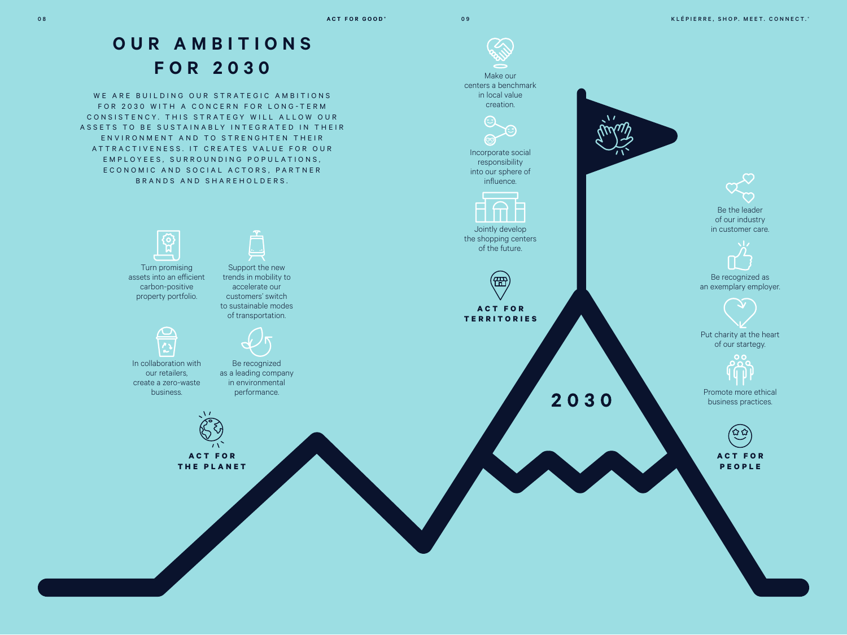